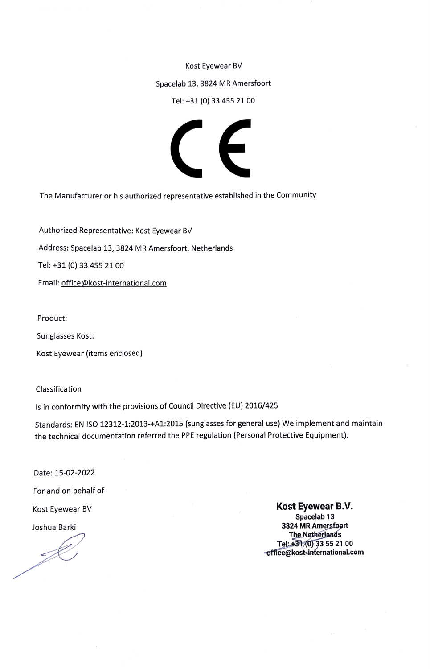Kost Eyewear BV

Spacelab 13, 3824 MR Amersfoort

Tel: +31 (0) 33 455 21 00



The Manufacturer or his authorized representative established in the Community

Authorized Representative: Kost Eyewear BV

Address: Spacelab 13, 3824 MR Amersfoort, Netherlands

Tel: +31 (0) 33 455 21 00

Email: office@kost-international.com

Product:

Sunglasses Kost:

Kost Eyewear (items enclosed)

Classification

Is in conformity with the provisions of Council Directive (EU) 2016/425

Standards: EN ISO 12312-1:2013-+A1:2015 (sunglasses for general use) We implement and maintain the technical documentation referred the PPE regulation (Personal Protective Equipment).

Date: 15-02-2022

For and on behalf of

Kost Eyewear BV

Joshua Barki

Kost Eyewear B.V. Spacelab<sub>13</sub> 3824 MR Amersfoort **The Netherlands** Tel: +31/0) 33 55 21 00 -office@kost-international.com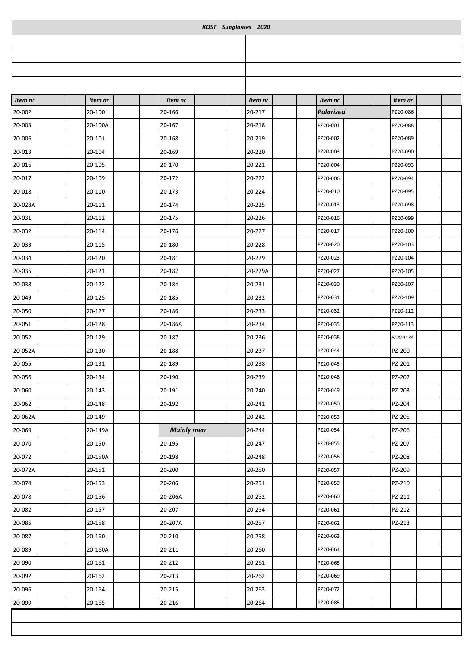| KOST Sunglasses 2020 |         |                   |  |         |  |                  |  |           |  |  |  |
|----------------------|---------|-------------------|--|---------|--|------------------|--|-----------|--|--|--|
|                      |         |                   |  |         |  |                  |  |           |  |  |  |
|                      |         |                   |  |         |  |                  |  |           |  |  |  |
|                      |         |                   |  |         |  |                  |  |           |  |  |  |
|                      |         |                   |  |         |  |                  |  |           |  |  |  |
| Item nr              | Item nr | Item nr           |  | Item nr |  | Item nr          |  | Item nr   |  |  |  |
| 20-002               | 20-100  | 20-166            |  | 20-217  |  | <b>Polarized</b> |  | PZ20-086  |  |  |  |
| 20-003               | 20-100A | 20-167            |  | 20-218  |  | PZ20-001         |  | PZ20-088  |  |  |  |
| 20-006               | 20-101  | 20-168            |  | 20-219  |  | PZ20-002         |  | PZ20-089  |  |  |  |
| 20-013               | 20-104  | 20-169            |  | 20-220  |  | PZ20-003         |  | PZ20-090  |  |  |  |
| 20-016               | 20-105  | 20-170            |  | 20-221  |  | PZ20-004         |  | PZ20-093  |  |  |  |
| 20-017               | 20-109  | 20-172            |  | 20-222  |  | PZ20-006         |  | PZ20-094  |  |  |  |
| 20-018               | 20-110  | 20-173            |  | 20-224  |  | PZ20-010         |  | PZ20-095  |  |  |  |
| 20-028A              | 20-111  | 20-174            |  | 20-225  |  | PZ20-013         |  | PZ20-098  |  |  |  |
| 20-031               | 20-112  | 20-175            |  | 20-226  |  | PZ20-016         |  | PZ20-099  |  |  |  |
| 20-032               | 20-114  | 20-176            |  | 20-227  |  | PZ20-017         |  | PZ20-100  |  |  |  |
| 20-033               | 20-115  | 20-180            |  | 20-228  |  | PZ20-020         |  | PZ20-103  |  |  |  |
| 20-034               | 20-120  | 20-181            |  | 20-229  |  | PZ20-023         |  | PZ20-104  |  |  |  |
| 20-035               | 20-121  | 20-182            |  | 20-229A |  | PZ20-027         |  | PZ20-105  |  |  |  |
| 20-038               | 20-122  | 20-184            |  | 20-231  |  | PZ20-030         |  | PZ20-107  |  |  |  |
| 20-049               | 20-125  | 20-185            |  | 20-232  |  | PZ20-031         |  | PZ20-109  |  |  |  |
| 20-050               | 20-127  | 20-186            |  | 20-233  |  | PZ20-032         |  | PZ20-112  |  |  |  |
| 20-051               | 20-128  | 20-186A           |  | 20-234  |  | PZ20-035         |  | PZ20-113  |  |  |  |
| 20-052               | 20-129  | 20-187            |  | 20-236  |  | PZ20-038         |  | PZ20-113A |  |  |  |
| 20-052A              | 20-130  | 20-188            |  | 20-237  |  | PZ20-044         |  | PZ-200    |  |  |  |
| 20-055               | 20-131  | 20-189            |  | 20-238  |  | PZ20-045         |  | PZ-201    |  |  |  |
| 20-056               | 20-134  | 20-190            |  | 20-239  |  | PZ20-048         |  | PZ-202    |  |  |  |
| 20-060               | 20-143  | 20-191            |  | 20-240  |  | PZ20-049         |  | PZ-203    |  |  |  |
| 20-062               | 20-148  | 20-192            |  | 20-241  |  | PZ20-050         |  | PZ-204    |  |  |  |
| 20-062A              | 20-149  |                   |  | 20-242  |  | PZ20-053         |  | PZ-205    |  |  |  |
| 20-069               | 20-149A | <b>Mainly men</b> |  | 20-244  |  | PZ20-054         |  | PZ-206    |  |  |  |
| 20-070               | 20-150  | 20-195            |  | 20-247  |  | PZ20-055         |  | PZ-207    |  |  |  |
| 20-072               | 20-150A | 20-198            |  | 20-248  |  | PZ20-056         |  | PZ-208    |  |  |  |
| 20-072A              | 20-151  | 20-200            |  | 20-250  |  | PZ20-057         |  | PZ-209    |  |  |  |
| 20-074               | 20-153  | 20-206            |  | 20-251  |  | PZ20-059         |  | PZ-210    |  |  |  |
| 20-078               | 20-156  | 20-206A           |  | 20-252  |  | PZ20-060         |  | PZ-211    |  |  |  |
| 20-082               | 20-157  | 20-207            |  | 20-254  |  | PZ20-061         |  | PZ-212    |  |  |  |
| 20-085               | 20-158  | 20-207A           |  | 20-257  |  | PZ20-062         |  | PZ-213    |  |  |  |
| 20-087               | 20-160  | 20-210            |  | 20-258  |  | PZ20-063         |  |           |  |  |  |
| 20-089               | 20-160A | 20-211            |  | 20-260  |  | PZ20-064         |  |           |  |  |  |
| 20-090               | 20-161  | 20-212            |  | 20-261  |  | PZ20-065         |  |           |  |  |  |
| 20-092               | 20-162  | 20-213            |  | 20-262  |  | PZ20-069         |  |           |  |  |  |
| 20-096               | 20-164  | 20-215            |  | 20-263  |  | PZ20-072         |  |           |  |  |  |
| 20-099               | 20-165  | 20-216            |  | 20-264  |  | PZ20-085         |  |           |  |  |  |
|                      |         |                   |  |         |  |                  |  |           |  |  |  |
|                      |         |                   |  |         |  |                  |  |           |  |  |  |
|                      |         |                   |  |         |  |                  |  |           |  |  |  |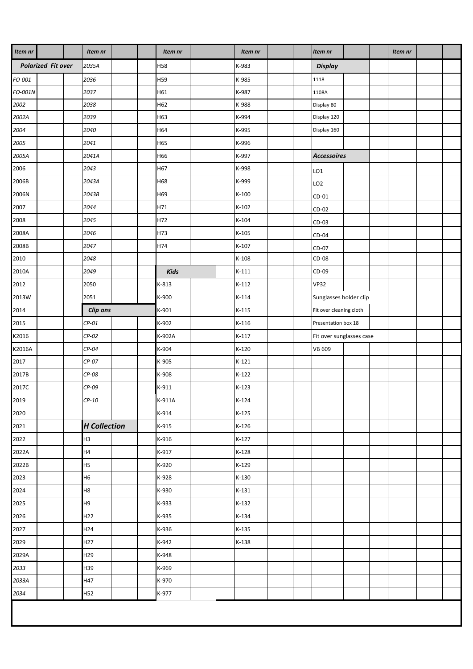| Item nr                   | Item nr             |  | Item nr |  |       | Item nr |                |  | Item nr                  |  | Item nr |  |
|---------------------------|---------------------|--|---------|--|-------|---------|----------------|--|--------------------------|--|---------|--|
| <b>Polarized Fit over</b> | 2035A               |  | H58     |  | K-983 |         | <b>Display</b> |  |                          |  |         |  |
| FO-001                    | 2036                |  | H59     |  |       | K-985   |                |  | 1118                     |  |         |  |
| FO-001N                   | 2037                |  | H61     |  |       | K-987   |                |  | 1108A                    |  |         |  |
| 2002                      | 2038                |  | H62     |  |       | K-988   |                |  | Display 80               |  |         |  |
| 2002A                     | 2039                |  | H63     |  |       | K-994   |                |  | Display 120              |  |         |  |
| 2004                      | 2040                |  | H64     |  |       | K-995   |                |  | Display 160              |  |         |  |
| 2005                      | 2041                |  | H65     |  |       | K-996   |                |  |                          |  |         |  |
| 2005A                     | 2041A               |  | H66     |  |       | K-997   |                |  | <b>Accessoires</b>       |  |         |  |
| 2006                      | 2043                |  | H67     |  |       | K-998   |                |  | LO <sub>1</sub>          |  |         |  |
| 2006B                     | 2043A               |  | H68     |  |       | K-999   |                |  | LO <sub>2</sub>          |  |         |  |
| 2006N                     | 2043B               |  | H69     |  |       | $K-100$ |                |  | $CD-01$                  |  |         |  |
| 2007                      | 2044                |  | H71     |  |       | $K-102$ |                |  | $CD-02$                  |  |         |  |
| 2008                      | 2045                |  | H72     |  |       | $K-104$ |                |  | $CD-03$                  |  |         |  |
| 2008A                     | 2046                |  | H73     |  |       | $K-105$ |                |  | $CD-04$                  |  |         |  |
| 2008B                     | 2047                |  | H74     |  |       | $K-107$ |                |  | CD-07                    |  |         |  |
| 2010                      | 2048                |  |         |  |       | $K-108$ |                |  | CD-08                    |  |         |  |
| 2010A                     | 2049                |  | Kids    |  |       | $K-111$ |                |  | CD-09                    |  |         |  |
| 2012                      | 2050                |  | K-813   |  |       | $K-112$ |                |  | <b>VP32</b>              |  |         |  |
| 2013W                     | 2051                |  | K-900   |  |       | $K-114$ |                |  | Sunglasses holder clip   |  |         |  |
| 2014                      | Clip ons            |  | K-901   |  |       | $K-115$ |                |  | Fit over cleaning cloth  |  |         |  |
| 2015                      | $CP-01$             |  | K-902   |  |       | $K-116$ |                |  | Presentation box 18      |  |         |  |
| K2016                     | $CP-02$             |  | K-902A  |  |       | $K-117$ |                |  | Fit over sunglasses case |  |         |  |
| K2016A                    | $CP-04$             |  | K-904   |  |       | $K-120$ |                |  | <b>VB 609</b>            |  |         |  |
| 2017                      | $CP-07$             |  | K-905   |  |       | $K-121$ |                |  |                          |  |         |  |
| 2017B                     | CP-08               |  | K-908   |  |       | $K-122$ |                |  |                          |  |         |  |
| 2017C                     | $CP-09$             |  | K-911   |  |       | $K-123$ |                |  |                          |  |         |  |
| 2019                      | $CP-10$             |  | K-911A  |  |       | $K-124$ |                |  |                          |  |         |  |
| 2020                      |                     |  | K-914   |  |       | $K-125$ |                |  |                          |  |         |  |
| 2021                      | <b>H</b> Collection |  | $K-915$ |  |       | $K-126$ |                |  |                          |  |         |  |
| 2022                      | H <sub>3</sub>      |  | K-916   |  |       | $K-127$ |                |  |                          |  |         |  |
| 2022A                     | H4                  |  | K-917   |  |       | $K-128$ |                |  |                          |  |         |  |
| 2022B                     | H <sub>5</sub>      |  | K-920   |  |       | $K-129$ |                |  |                          |  |         |  |
| 2023                      | H <sub>6</sub>      |  | K-928   |  |       | $K-130$ |                |  |                          |  |         |  |
| 2024                      | H8                  |  | K-930   |  |       | $K-131$ |                |  |                          |  |         |  |
| 2025                      | H9                  |  | K-933   |  |       | $K-132$ |                |  |                          |  |         |  |
| 2026                      | H22                 |  | K-935   |  |       | $K-134$ |                |  |                          |  |         |  |
| 2027                      | H24                 |  | K-936   |  |       | $K-135$ |                |  |                          |  |         |  |
| 2029                      | H <sub>27</sub>     |  | K-942   |  |       | $K-138$ |                |  |                          |  |         |  |
| 2029A                     | H29                 |  | K-948   |  |       |         |                |  |                          |  |         |  |
| 2033                      | H39                 |  | K-969   |  |       |         |                |  |                          |  |         |  |
| 2033A                     | H47                 |  | K-970   |  |       |         |                |  |                          |  |         |  |
| 2034                      | H52                 |  | K-977   |  |       |         |                |  |                          |  |         |  |
|                           |                     |  |         |  |       |         |                |  |                          |  |         |  |
|                           |                     |  |         |  |       |         |                |  |                          |  |         |  |
|                           |                     |  |         |  |       |         |                |  |                          |  |         |  |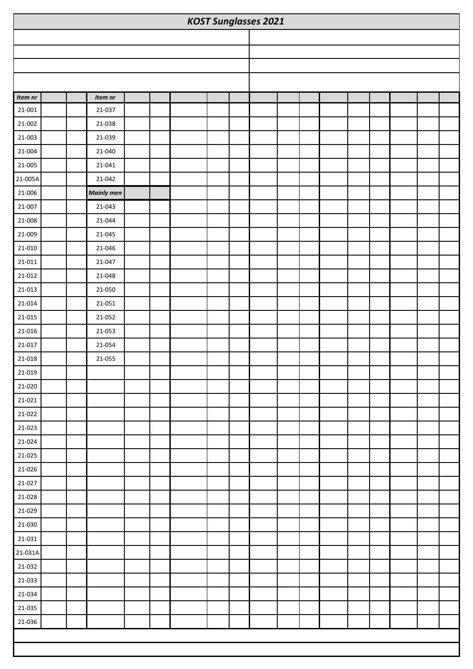| <b>KOST Sunglasses 2021</b> |  |                   |  |  |  |  |  |  |  |  |  |  |
|-----------------------------|--|-------------------|--|--|--|--|--|--|--|--|--|--|
|                             |  |                   |  |  |  |  |  |  |  |  |  |  |
|                             |  |                   |  |  |  |  |  |  |  |  |  |  |
|                             |  |                   |  |  |  |  |  |  |  |  |  |  |
|                             |  |                   |  |  |  |  |  |  |  |  |  |  |
| Item nr                     |  | Item nr           |  |  |  |  |  |  |  |  |  |  |
| 21-001                      |  | 21-037            |  |  |  |  |  |  |  |  |  |  |
| 21-002                      |  | 21-038            |  |  |  |  |  |  |  |  |  |  |
| 21-003                      |  | 21-039            |  |  |  |  |  |  |  |  |  |  |
| 21-004                      |  | 21-040            |  |  |  |  |  |  |  |  |  |  |
| 21-005                      |  | 21-041            |  |  |  |  |  |  |  |  |  |  |
| 21-005A                     |  | 21-042            |  |  |  |  |  |  |  |  |  |  |
| 21-006                      |  | <b>Mainly men</b> |  |  |  |  |  |  |  |  |  |  |
| 21-007                      |  | 21-043            |  |  |  |  |  |  |  |  |  |  |
| 21-008                      |  | 21-044            |  |  |  |  |  |  |  |  |  |  |
| 21-009                      |  | 21-045            |  |  |  |  |  |  |  |  |  |  |
| 21-010                      |  | 21-046            |  |  |  |  |  |  |  |  |  |  |
| 21-011                      |  | 21-047            |  |  |  |  |  |  |  |  |  |  |
| 21-012                      |  | 21-048            |  |  |  |  |  |  |  |  |  |  |
| 21-013                      |  | 21-050            |  |  |  |  |  |  |  |  |  |  |
| $21 - 014$                  |  | 21-051            |  |  |  |  |  |  |  |  |  |  |
| 21-015                      |  | 21-052            |  |  |  |  |  |  |  |  |  |  |
| 21-016                      |  | 21-053            |  |  |  |  |  |  |  |  |  |  |
| 21-017                      |  | 21-054            |  |  |  |  |  |  |  |  |  |  |
| $21 - 018$                  |  | 21-055            |  |  |  |  |  |  |  |  |  |  |
| 21-019                      |  |                   |  |  |  |  |  |  |  |  |  |  |
| 21-020                      |  |                   |  |  |  |  |  |  |  |  |  |  |
| 21-021                      |  |                   |  |  |  |  |  |  |  |  |  |  |
| 21-022                      |  |                   |  |  |  |  |  |  |  |  |  |  |
| 21-023                      |  |                   |  |  |  |  |  |  |  |  |  |  |
| 21-024                      |  |                   |  |  |  |  |  |  |  |  |  |  |
| 21-025                      |  |                   |  |  |  |  |  |  |  |  |  |  |
| 21-026                      |  |                   |  |  |  |  |  |  |  |  |  |  |
| 21-027                      |  |                   |  |  |  |  |  |  |  |  |  |  |
| 21-028                      |  |                   |  |  |  |  |  |  |  |  |  |  |
| 21-029                      |  |                   |  |  |  |  |  |  |  |  |  |  |
| 21-030                      |  |                   |  |  |  |  |  |  |  |  |  |  |
| 21-031                      |  |                   |  |  |  |  |  |  |  |  |  |  |
| 21-031A                     |  |                   |  |  |  |  |  |  |  |  |  |  |
| 21-032                      |  |                   |  |  |  |  |  |  |  |  |  |  |
| 21-033                      |  |                   |  |  |  |  |  |  |  |  |  |  |
| 21-034                      |  |                   |  |  |  |  |  |  |  |  |  |  |
| 21-035                      |  |                   |  |  |  |  |  |  |  |  |  |  |
| 21-036                      |  |                   |  |  |  |  |  |  |  |  |  |  |
|                             |  |                   |  |  |  |  |  |  |  |  |  |  |
|                             |  |                   |  |  |  |  |  |  |  |  |  |  |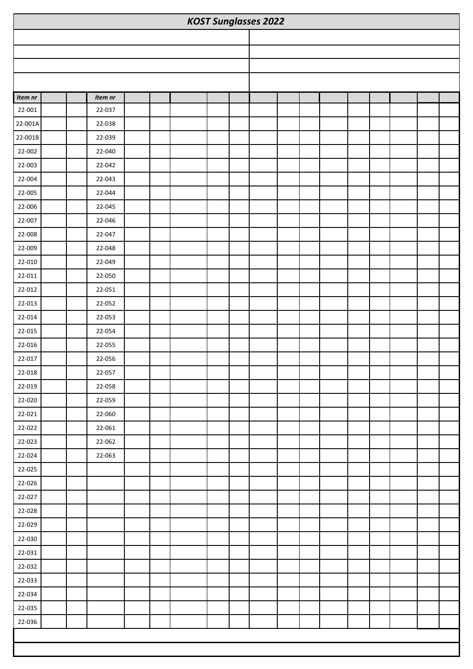| <b>KOST Sunglasses 2022</b> |  |         |  |  |  |  |  |  |  |  |  |  |
|-----------------------------|--|---------|--|--|--|--|--|--|--|--|--|--|
|                             |  |         |  |  |  |  |  |  |  |  |  |  |
|                             |  |         |  |  |  |  |  |  |  |  |  |  |
|                             |  |         |  |  |  |  |  |  |  |  |  |  |
|                             |  |         |  |  |  |  |  |  |  |  |  |  |
| Item nr                     |  | Item nr |  |  |  |  |  |  |  |  |  |  |
| 22-001                      |  | 22-037  |  |  |  |  |  |  |  |  |  |  |
| 22-001A                     |  | 22-038  |  |  |  |  |  |  |  |  |  |  |
| 22-001B                     |  | 22-039  |  |  |  |  |  |  |  |  |  |  |
| 22-002                      |  | 22-040  |  |  |  |  |  |  |  |  |  |  |
| 22-003                      |  | 22-042  |  |  |  |  |  |  |  |  |  |  |
| 22-004                      |  | 22-043  |  |  |  |  |  |  |  |  |  |  |
| 22-005                      |  | 22-044  |  |  |  |  |  |  |  |  |  |  |
| 22-006                      |  | 22-045  |  |  |  |  |  |  |  |  |  |  |
| 22-007                      |  | 22-046  |  |  |  |  |  |  |  |  |  |  |
| 22-008                      |  | 22-047  |  |  |  |  |  |  |  |  |  |  |
| 22-009                      |  | 22-048  |  |  |  |  |  |  |  |  |  |  |
| 22-010                      |  | 22-049  |  |  |  |  |  |  |  |  |  |  |
| 22-011                      |  | 22-050  |  |  |  |  |  |  |  |  |  |  |
| 22-012                      |  | 22-051  |  |  |  |  |  |  |  |  |  |  |
| 22-013                      |  | 22-052  |  |  |  |  |  |  |  |  |  |  |
| 22-014                      |  | 22-053  |  |  |  |  |  |  |  |  |  |  |
| 22-015                      |  | 22-054  |  |  |  |  |  |  |  |  |  |  |
| 22-016                      |  | 22-055  |  |  |  |  |  |  |  |  |  |  |
| 22-017                      |  | 22-056  |  |  |  |  |  |  |  |  |  |  |
| 22-018                      |  | 22-057  |  |  |  |  |  |  |  |  |  |  |
| 22-019                      |  | 22-058  |  |  |  |  |  |  |  |  |  |  |
| 22-020                      |  | 22-059  |  |  |  |  |  |  |  |  |  |  |
| 22-021                      |  | 22-060  |  |  |  |  |  |  |  |  |  |  |
| 22-022                      |  | 22-061  |  |  |  |  |  |  |  |  |  |  |
| 22-023                      |  | 22-062  |  |  |  |  |  |  |  |  |  |  |
| 22-024                      |  | 22-063  |  |  |  |  |  |  |  |  |  |  |
| 22-025                      |  |         |  |  |  |  |  |  |  |  |  |  |
| 22-026                      |  |         |  |  |  |  |  |  |  |  |  |  |
| 22-027                      |  |         |  |  |  |  |  |  |  |  |  |  |
| 22-028                      |  |         |  |  |  |  |  |  |  |  |  |  |
| 22-029                      |  |         |  |  |  |  |  |  |  |  |  |  |
| 22-030                      |  |         |  |  |  |  |  |  |  |  |  |  |
| 22-031                      |  |         |  |  |  |  |  |  |  |  |  |  |
| 22-032                      |  |         |  |  |  |  |  |  |  |  |  |  |
| 22-033                      |  |         |  |  |  |  |  |  |  |  |  |  |
| 22-034                      |  |         |  |  |  |  |  |  |  |  |  |  |
| 22-035                      |  |         |  |  |  |  |  |  |  |  |  |  |
| 22-036                      |  |         |  |  |  |  |  |  |  |  |  |  |
|                             |  |         |  |  |  |  |  |  |  |  |  |  |
|                             |  |         |  |  |  |  |  |  |  |  |  |  |